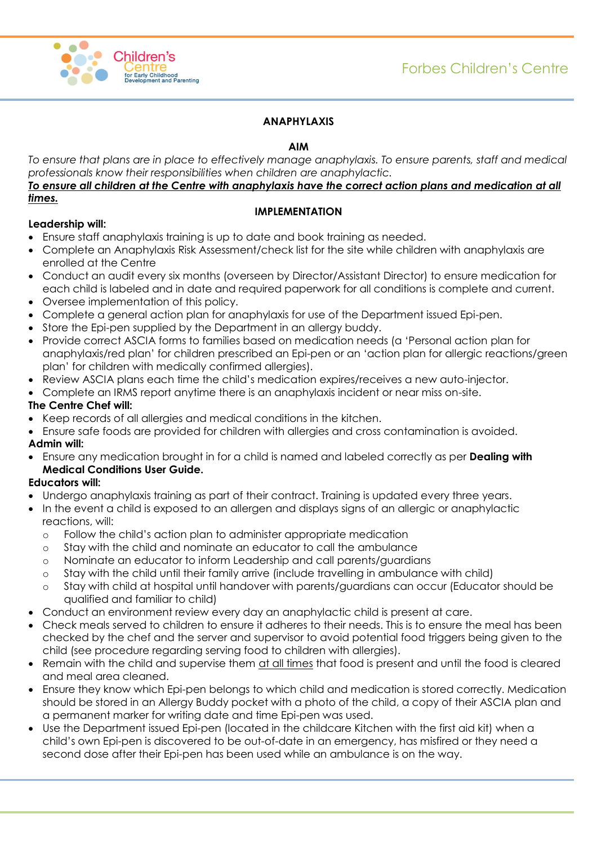

# **ANAPHYLAXIS**

## **AIM**

*To ensure that plans are in place to effectively manage anaphylaxis. To ensure parents, staff and medical professionals know their responsibilities when children are anaphylactic.*

## *To ensure all children at the Centre with anaphylaxis have the correct action plans and medication at all times.*

## **IMPLEMENTATION**

## **Leadership will:**

- Ensure staff anaphylaxis training is up to date and book training as needed.
- Complete an Anaphylaxis Risk Assessment/check list for the site while children with anaphylaxis are enrolled at the Centre
- Conduct an audit every six months (overseen by Director/Assistant Director) to ensure medication for each child is labeled and in date and required paperwork for all conditions is complete and current.
- Oversee implementation of this policy.
- Complete a general action plan for anaphylaxis for use of the Department issued Epi-pen.
- Store the Epi-pen supplied by the Department in an allergy buddy.
- Provide correct ASCIA forms to families based on medication needs (a 'Personal action plan for anaphylaxis/red plan' for children prescribed an Epi-pen or an 'action plan for allergic reactions/green plan' for children with medically confirmed allergies).
- Review ASCIA plans each time the child's medication expires/receives a new auto-injector.
- Complete an IRMS report anytime there is an anaphylaxis incident or near miss on-site.

## **The Centre Chef will:**

- Keep records of all allergies and medical conditions in the kitchen.
- Ensure safe foods are provided for children with allergies and cross contamination is avoided. **Admin will:**
- Ensure any medication brought in for a child is named and labeled correctly as per **Dealing with Medical Conditions User Guide.**

# **Educators will:**

- Undergo anaphylaxis training as part of their contract. Training is updated every three years.
- In the event a child is exposed to an allergen and displays signs of an allergic or anaphylactic reactions, will:
	- o Follow the child's action plan to administer appropriate medication
	- o Stay with the child and nominate an educator to call the ambulance
	- o Nominate an educator to inform Leadership and call parents/guardians
	- o Stay with the child until their family arrive (include travelling in ambulance with child)
	- o Stay with child at hospital until handover with parents/guardians can occur (Educator should be qualified and familiar to child)
- Conduct an environment review every day an anaphylactic child is present at care.
- Check meals served to children to ensure it adheres to their needs. This is to ensure the meal has been checked by the chef and the server and supervisor to avoid potential food triggers being given to the child (see procedure regarding serving food to children with allergies).
- Remain with the child and supervise them at all times that food is present and until the food is cleared and meal area cleaned.
- Ensure they know which Epi-pen belongs to which child and medication is stored correctly. Medication should be stored in an Allergy Buddy pocket with a photo of the child, a copy of their ASCIA plan and a permanent marker for writing date and time Epi-pen was used.
- Use the Department issued Epi-pen (located in the childcare Kitchen with the first aid kit) when a child's own Epi-pen is discovered to be out-of-date in an emergency, has misfired or they need a second dose after their Epi-pen has been used while an ambulance is on the way.